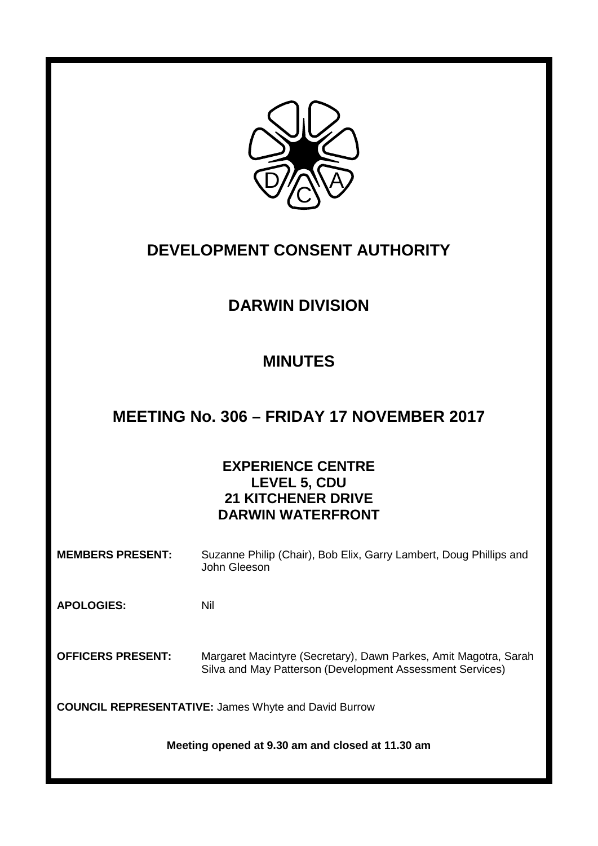

# **DEVELOPMENT CONSENT AUTHORITY**

## **DARWIN DIVISION**

## **MINUTES**

## **MEETING No. 306 – FRIDAY 17 NOVEMBER 2017**

## **EXPERIENCE CENTRE LEVEL 5, CDU 21 KITCHENER DRIVE DARWIN WATERFRONT**

**MEMBERS PRESENT:** Suzanne Philip (Chair), Bob Elix, Garry Lambert, Doug Phillips and John Gleeson

**APOLOGIES:** Nil

**OFFICERS PRESENT:** Margaret Macintyre (Secretary), Dawn Parkes, Amit Magotra, Sarah Silva and May Patterson (Development Assessment Services)

**COUNCIL REPRESENTATIVE:** James Whyte and David Burrow

**Meeting opened at 9.30 am and closed at 11.30 am**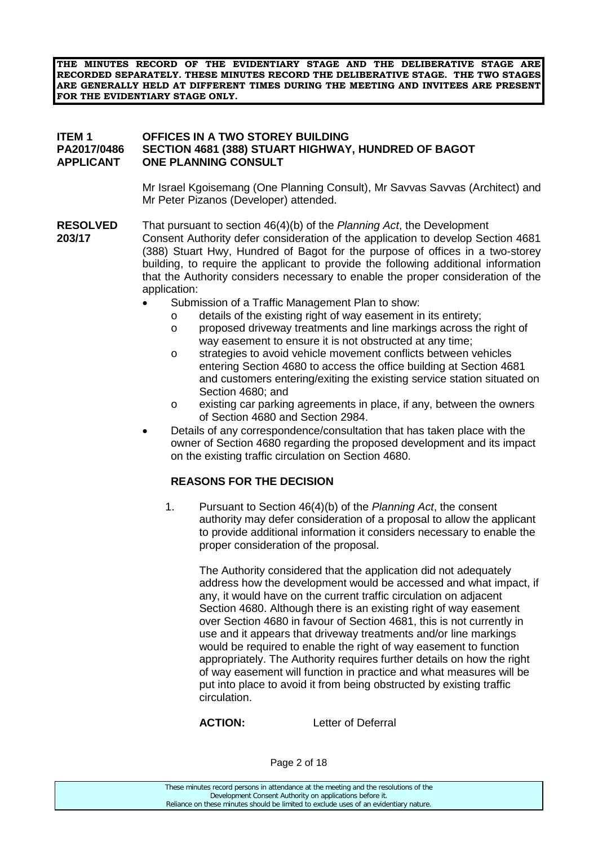**THE MINUTES RECORD OF THE EVIDENTIARY STAGE AND THE DELIBERATIVE STAGE ARE RECORDED SEPARATELY. THESE MINUTES RECORD THE DELIBERATIVE STAGE. THE TWO STAGES ARE GENERALLY HELD AT DIFFERENT TIMES DURING THE MEETING AND INVITEES ARE PRESENT FOR THE EVIDENTIARY STAGE ONLY.**

#### **ITEM 1 OFFICES IN A TWO STOREY BUILDING PA2017/0486 SECTION 4681 (388) STUART HIGHWAY, HUNDRED OF BAGOT ONE PLANNING CONSULT**

Mr Israel Kgoisemang (One Planning Consult), Mr Savvas Savvas (Architect) and Mr Peter Pizanos (Developer) attended.

- **RESOLVED** That pursuant to section 46(4)(b) of the *Planning Act*, the Development **203/17** Consent Authority defer consideration of the application to develop Section 4681 (388) Stuart Hwy, Hundred of Bagot for the purpose of offices in a two-storey building, to require the applicant to provide the following additional information that the Authority considers necessary to enable the proper consideration of the application:
	- Submission of a Traffic Management Plan to show:
		- o details of the existing right of way easement in its entirety;
		- o proposed driveway treatments and line markings across the right of way easement to ensure it is not obstructed at any time;
		- o strategies to avoid vehicle movement conflicts between vehicles entering Section 4680 to access the office building at Section 4681 and customers entering/exiting the existing service station situated on Section 4680; and
		- o existing car parking agreements in place, if any, between the owners of Section 4680 and Section 2984.
	- Details of any correspondence/consultation that has taken place with the owner of Section 4680 regarding the proposed development and its impact on the existing traffic circulation on Section 4680.

### **REASONS FOR THE DECISION**

1. Pursuant to Section 46(4)(b) of the *Planning Act*, the consent authority may defer consideration of a proposal to allow the applicant to provide additional information it considers necessary to enable the proper consideration of the proposal.

The Authority considered that the application did not adequately address how the development would be accessed and what impact, if any, it would have on the current traffic circulation on adjacent Section 4680. Although there is an existing right of way easement over Section 4680 in favour of Section 4681, this is not currently in use and it appears that driveway treatments and/or line markings would be required to enable the right of way easement to function appropriately. The Authority requires further details on how the right of way easement will function in practice and what measures will be put into place to avoid it from being obstructed by existing traffic circulation.

**ACTION:** Letter of Deferral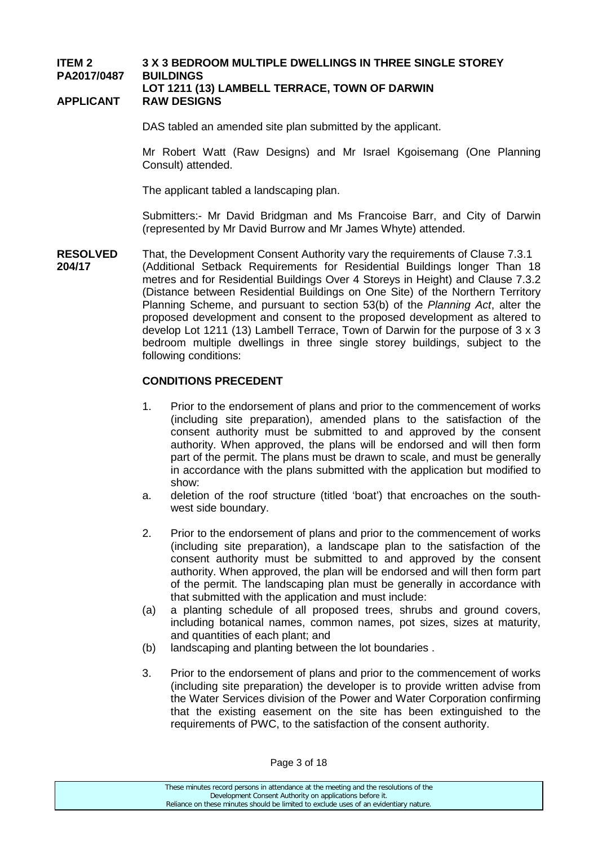#### **ITEM 2 3 X 3 BEDROOM MULTIPLE DWELLINGS IN THREE SINGLE STOREY PA2017/0487 BUILDINGS LOT 1211 (13) LAMBELL TERRACE, TOWN OF DARWIN**

#### **APPLICANT RAW DESIGNS**

DAS tabled an amended site plan submitted by the applicant.

Mr Robert Watt (Raw Designs) and Mr Israel Kgoisemang (One Planning Consult) attended.

The applicant tabled a landscaping plan.

Submitters:- Mr David Bridgman and Ms Francoise Barr, and City of Darwin (represented by Mr David Burrow and Mr James Whyte) attended.

**RESOLVED** That, the Development Consent Authority vary the requirements of Clause 7.3.1<br>**204/17** (Additional Setback Requirements for Residential Buildings longer Than 1 **204/17** (Additional Setback Requirements for Residential Buildings longer Than 18 metres and for Residential Buildings Over 4 Storeys in Height) and Clause 7.3.2 (Distance between Residential Buildings on One Site) of the Northern Territory Planning Scheme, and pursuant to section 53(b) of the *Planning Act*, alter the proposed development and consent to the proposed development as altered to develop Lot 1211 (13) Lambell Terrace, Town of Darwin for the purpose of 3 x 3 bedroom multiple dwellings in three single storey buildings, subject to the following conditions:

#### **CONDITIONS PRECEDENT**

- 1. Prior to the endorsement of plans and prior to the commencement of works (including site preparation), amended plans to the satisfaction of the consent authority must be submitted to and approved by the consent authority. When approved, the plans will be endorsed and will then form part of the permit. The plans must be drawn to scale, and must be generally in accordance with the plans submitted with the application but modified to show:
- a. deletion of the roof structure (titled 'boat') that encroaches on the southwest side boundary.
- 2. Prior to the endorsement of plans and prior to the commencement of works (including site preparation), a landscape plan to the satisfaction of the consent authority must be submitted to and approved by the consent authority. When approved, the plan will be endorsed and will then form part of the permit. The landscaping plan must be generally in accordance with that submitted with the application and must include:
- (a) a planting schedule of all proposed trees, shrubs and ground covers, including botanical names, common names, pot sizes, sizes at maturity, and quantities of each plant; and
- (b) landscaping and planting between the lot boundaries .
- 3. Prior to the endorsement of plans and prior to the commencement of works (including site preparation) the developer is to provide written advise from the Water Services division of the Power and Water Corporation confirming that the existing easement on the site has been extinguished to the requirements of PWC, to the satisfaction of the consent authority.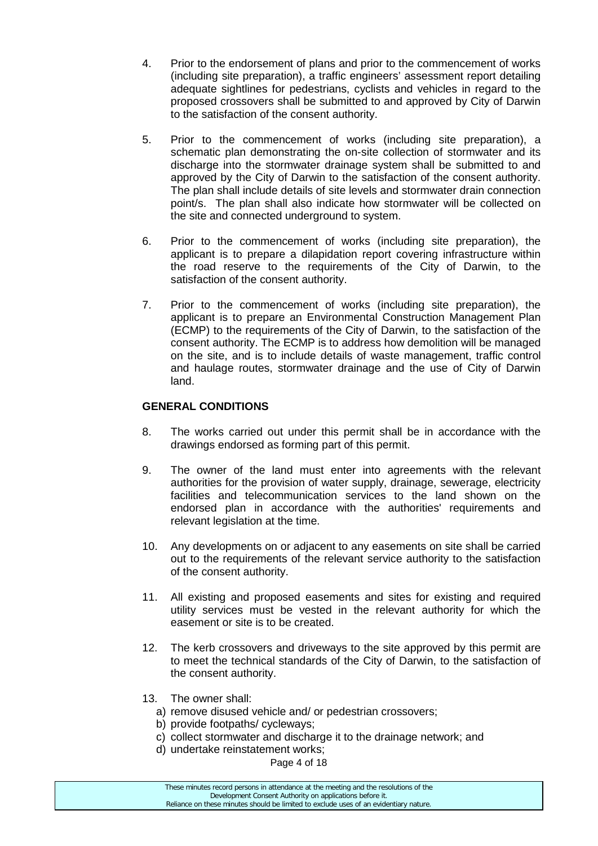- 4. Prior to the endorsement of plans and prior to the commencement of works (including site preparation), a traffic engineers' assessment report detailing adequate sightlines for pedestrians, cyclists and vehicles in regard to the proposed crossovers shall be submitted to and approved by City of Darwin to the satisfaction of the consent authority.
- 5. Prior to the commencement of works (including site preparation), a schematic plan demonstrating the on-site collection of stormwater and its discharge into the stormwater drainage system shall be submitted to and approved by the City of Darwin to the satisfaction of the consent authority. The plan shall include details of site levels and stormwater drain connection point/s. The plan shall also indicate how stormwater will be collected on the site and connected underground to system.
- 6. Prior to the commencement of works (including site preparation), the applicant is to prepare a dilapidation report covering infrastructure within the road reserve to the requirements of the City of Darwin, to the satisfaction of the consent authority.
- 7. Prior to the commencement of works (including site preparation), the applicant is to prepare an Environmental Construction Management Plan (ECMP) to the requirements of the City of Darwin, to the satisfaction of the consent authority. The ECMP is to address how demolition will be managed on the site, and is to include details of waste management, traffic control and haulage routes, stormwater drainage and the use of City of Darwin land.

#### **GENERAL CONDITIONS**

- 8. The works carried out under this permit shall be in accordance with the drawings endorsed as forming part of this permit.
- 9. The owner of the land must enter into agreements with the relevant authorities for the provision of water supply, drainage, sewerage, electricity facilities and telecommunication services to the land shown on the endorsed plan in accordance with the authorities' requirements and relevant legislation at the time.
- 10. Any developments on or adjacent to any easements on site shall be carried out to the requirements of the relevant service authority to the satisfaction of the consent authority.
- 11. All existing and proposed easements and sites for existing and required utility services must be vested in the relevant authority for which the easement or site is to be created.
- 12. The kerb crossovers and driveways to the site approved by this permit are to meet the technical standards of the City of Darwin, to the satisfaction of the consent authority.
- 13. The owner shall:
	- a) remove disused vehicle and/ or pedestrian crossovers;
	- b) provide footpaths/ cycleways;
	- c) collect stormwater and discharge it to the drainage network; and
	- d) undertake reinstatement works;
		- Page 4 of 18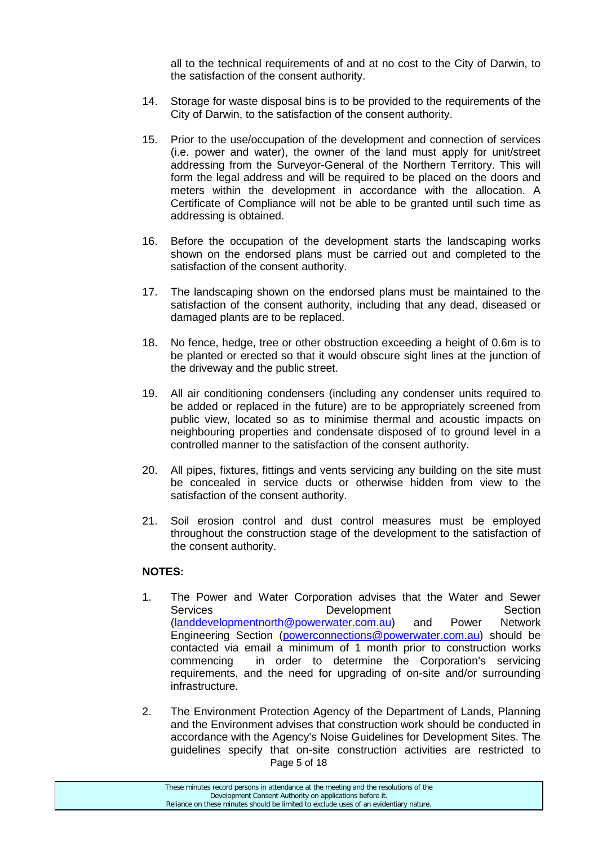all to the technical requirements of and at no cost to the City of Darwin, to the satisfaction of the consent authority.

- 14. Storage for waste disposal bins is to be provided to the requirements of the City of Darwin, to the satisfaction of the consent authority.
- 15. Prior to the use/occupation of the development and connection of services (i.e. power and water), the owner of the land must apply for unit/street addressing from the Surveyor-General of the Northern Territory. This will form the legal address and will be required to be placed on the doors and meters within the development in accordance with the allocation. A Certificate of Compliance will not be able to be granted until such time as addressing is obtained.
- 16. Before the occupation of the development starts the landscaping works shown on the endorsed plans must be carried out and completed to the satisfaction of the consent authority.
- 17. The landscaping shown on the endorsed plans must be maintained to the satisfaction of the consent authority, including that any dead, diseased or damaged plants are to be replaced.
- 18. No fence, hedge, tree or other obstruction exceeding a height of 0.6m is to be planted or erected so that it would obscure sight lines at the junction of the driveway and the public street.
- 19. All air conditioning condensers (including any condenser units required to be added or replaced in the future) are to be appropriately screened from public view, located so as to minimise thermal and acoustic impacts on neighbouring properties and condensate disposed of to ground level in a controlled manner to the satisfaction of the consent authority.
- 20. All pipes, fixtures, fittings and vents servicing any building on the site must be concealed in service ducts or otherwise hidden from view to the satisfaction of the consent authority.
- 21. Soil erosion control and dust control measures must be employed throughout the construction stage of the development to the satisfaction of the consent authority.

#### **NOTES:**

- 1. The Power and Water Corporation advises that the Water and Sewer Services Development Section [\(landdevelopmentnorth@powerwater.com.au\)](mailto:landdevelopmentnorth@powerwater.com.au) and Power Network Engineering Section [\(powerconnections@powerwater.com.au\)](mailto:powerconnections@powerwater.com.au) should be contacted via email a minimum of 1 month prior to construction works commencing in order to determine the Corporation's servicing requirements, and the need for upgrading of on-site and/or surrounding infrastructure.
- Page 5 of 18 2. The Environment Protection Agency of the Department of Lands, Planning and the Environment advises that construction work should be conducted in accordance with the Agency's Noise Guidelines for Development Sites. The guidelines specify that on-site construction activities are restricted to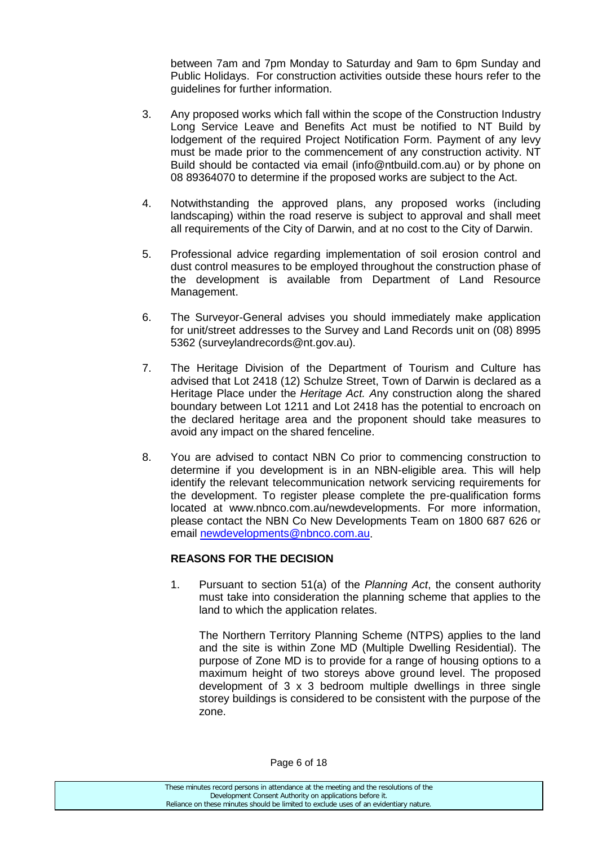between 7am and 7pm Monday to Saturday and 9am to 6pm Sunday and Public Holidays. For construction activities outside these hours refer to the guidelines for further information.

- 3. Any proposed works which fall within the scope of the Construction Industry Long Service Leave and Benefits Act must be notified to NT Build by lodgement of the required Project Notification Form. Payment of any levy must be made prior to the commencement of any construction activity. NT Build should be contacted via email (info@ntbuild.com.au) or by phone on 08 89364070 to determine if the proposed works are subject to the Act.
- 4. Notwithstanding the approved plans, any proposed works (including landscaping) within the road reserve is subject to approval and shall meet all requirements of the City of Darwin, and at no cost to the City of Darwin.
- 5. Professional advice regarding implementation of soil erosion control and dust control measures to be employed throughout the construction phase of the development is available from Department of Land Resource Management.
- 6. The Surveyor-General advises you should immediately make application for unit/street addresses to the Survey and Land Records unit on (08) 8995 5362 [\(surveylandrecords@nt.gov.au\)](mailto:surveylandrecords@nt.gov.au).
- 7. The Heritage Division of the Department of Tourism and Culture has advised that Lot 2418 (12) Schulze Street, Town of Darwin is declared as a Heritage Place under the *Heritage Act. A*ny construction along the shared boundary between Lot 1211 and Lot 2418 has the potential to encroach on the declared heritage area and the proponent should take measures to avoid any impact on the shared fenceline.
- 8. You are advised to contact NBN Co prior to commencing construction to determine if you development is in an NBN-eligible area. This will help identify the relevant telecommunication network servicing requirements for the development. To register please complete the pre-qualification forms located at www.nbnco.com.au/newdevelopments. For more information, please contact the NBN Co New Developments Team on 1800 687 626 or email [newdevelopments@nbnco.com.au.](mailto:newdevelopments@nbnco.com.au)

### **REASONS FOR THE DECISION**

1. Pursuant to section 51(a) of the *Planning Act*, the consent authority must take into consideration the planning scheme that applies to the land to which the application relates.

The Northern Territory Planning Scheme (NTPS) applies to the land and the site is within Zone MD (Multiple Dwelling Residential). The purpose of Zone MD is to provide for a range of housing options to a maximum height of two storeys above ground level. The proposed development of 3 x 3 bedroom multiple dwellings in three single storey buildings is considered to be consistent with the purpose of the zone.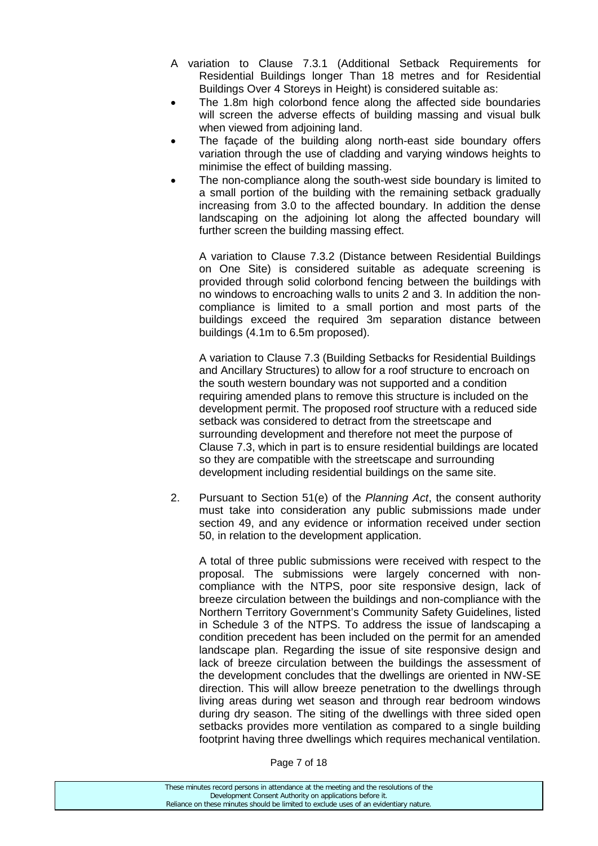- A variation to Clause 7.3.1 (Additional Setback Requirements for Residential Buildings longer Than 18 metres and for Residential Buildings Over 4 Storeys in Height) is considered suitable as:
- The 1.8m high colorbond fence along the affected side boundaries will screen the adverse effects of building massing and visual bulk when viewed from adjoining land.
- The facade of the building along north-east side boundary offers variation through the use of cladding and varying windows heights to minimise the effect of building massing.
- The non-compliance along the south-west side boundary is limited to a small portion of the building with the remaining setback gradually increasing from 3.0 to the affected boundary. In addition the dense landscaping on the adjoining lot along the affected boundary will further screen the building massing effect.

A variation to Clause 7.3.2 (Distance between Residential Buildings on One Site) is considered suitable as adequate screening is provided through solid colorbond fencing between the buildings with no windows to encroaching walls to units 2 and 3. In addition the noncompliance is limited to a small portion and most parts of the buildings exceed the required 3m separation distance between buildings (4.1m to 6.5m proposed).

A variation to Clause 7.3 (Building Setbacks for Residential Buildings and Ancillary Structures) to allow for a roof structure to encroach on the south western boundary was not supported and a condition requiring amended plans to remove this structure is included on the development permit. The proposed roof structure with a reduced side setback was considered to detract from the streetscape and surrounding development and therefore not meet the purpose of Clause 7.3, which in part is to ensure residential buildings are located so they are compatible with the streetscape and surrounding development including residential buildings on the same site.

2. Pursuant to Section 51(e) of the *Planning Act*, the consent authority must take into consideration any public submissions made under section 49, and any evidence or information received under section 50, in relation to the development application.

A total of three public submissions were received with respect to the proposal. The submissions were largely concerned with noncompliance with the NTPS, poor site responsive design, lack of breeze circulation between the buildings and non-compliance with the Northern Territory Government's Community Safety Guidelines, listed in Schedule 3 of the NTPS. To address the issue of landscaping a condition precedent has been included on the permit for an amended landscape plan. Regarding the issue of site responsive design and lack of breeze circulation between the buildings the assessment of the development concludes that the dwellings are oriented in NW-SE direction. This will allow breeze penetration to the dwellings through living areas during wet season and through rear bedroom windows during dry season. The siting of the dwellings with three sided open setbacks provides more ventilation as compared to a single building footprint having three dwellings which requires mechanical ventilation.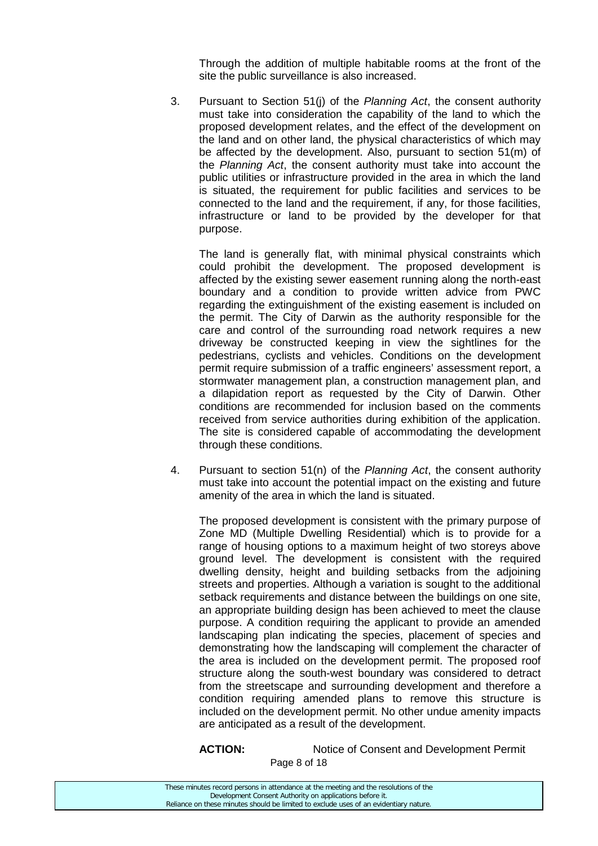Through the addition of multiple habitable rooms at the front of the site the public surveillance is also increased.

3. Pursuant to Section 51(j) of the *Planning Act*, the consent authority must take into consideration the capability of the land to which the proposed development relates, and the effect of the development on the land and on other land, the physical characteristics of which may be affected by the development. Also, pursuant to section 51(m) of the *Planning Act*, the consent authority must take into account the public utilities or infrastructure provided in the area in which the land is situated, the requirement for public facilities and services to be connected to the land and the requirement, if any, for those facilities, infrastructure or land to be provided by the developer for that purpose.

The land is generally flat, with minimal physical constraints which could prohibit the development. The proposed development is affected by the existing sewer easement running along the north-east boundary and a condition to provide written advice from PWC regarding the extinguishment of the existing easement is included on the permit. The City of Darwin as the authority responsible for the care and control of the surrounding road network requires a new driveway be constructed keeping in view the sightlines for the pedestrians, cyclists and vehicles. Conditions on the development permit require submission of a traffic engineers' assessment report, a stormwater management plan, a construction management plan, and a dilapidation report as requested by the City of Darwin. Other conditions are recommended for inclusion based on the comments received from service authorities during exhibition of the application. The site is considered capable of accommodating the development through these conditions.

4. Pursuant to section 51(n) of the *Planning Act*, the consent authority must take into account the potential impact on the existing and future amenity of the area in which the land is situated.

The proposed development is consistent with the primary purpose of Zone MD (Multiple Dwelling Residential) which is to provide for a range of housing options to a maximum height of two storeys above ground level. The development is consistent with the required dwelling density, height and building setbacks from the adjoining streets and properties. Although a variation is sought to the additional setback requirements and distance between the buildings on one site, an appropriate building design has been achieved to meet the clause purpose. A condition requiring the applicant to provide an amended landscaping plan indicating the species, placement of species and demonstrating how the landscaping will complement the character of the area is included on the development permit. The proposed roof structure along the south-west boundary was considered to detract from the streetscape and surrounding development and therefore a condition requiring amended plans to remove this structure is included on the development permit. No other undue amenity impacts are anticipated as a result of the development.

ACTION: Notice of Consent and Development Permit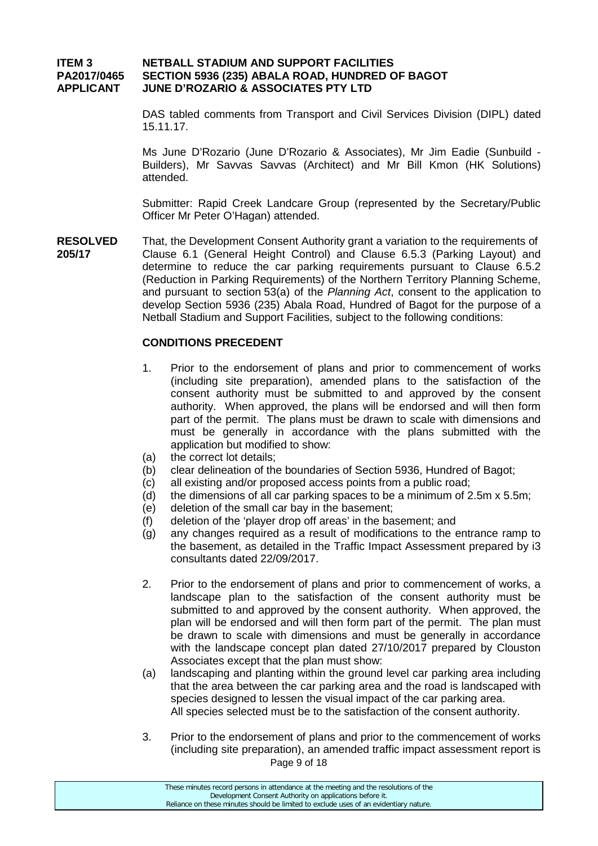#### **ITEM 3 NETBALL STADIUM AND SUPPORT FACILITIES PA2017/0465 SECTION 5936 (235) ABALA ROAD, HUNDRED OF BAGOT APPLICANT JUNE D'ROZARIO & ASSOCIATES PTY LTD**

DAS tabled comments from Transport and Civil Services Division (DIPL) dated 15.11.17.

Ms June D'Rozario (June D'Rozario & Associates), Mr Jim Eadie (Sunbuild - Builders), Mr Savvas Savvas (Architect) and Mr Bill Kmon (HK Solutions) attended.

Submitter: Rapid Creek Landcare Group (represented by the Secretary/Public Officer Mr Peter O'Hagan) attended.

**RESOLVED** That, the Development Consent Authority grant a variation to the requirements of **205/17** Clause 6.1 (General Height Control) and Clause 6.5.3 (Parking Layout) and determine to reduce the car parking requirements pursuant to Clause 6.5.2 (Reduction in Parking Requirements) of the Northern Territory Planning Scheme, and pursuant to section 53(a) of the *Planning Act*, consent to the application to develop Section 5936 (235) Abala Road, Hundred of Bagot for the purpose of a Netball Stadium and Support Facilities, subject to the following conditions:

#### **CONDITIONS PRECEDENT**

- 1. Prior to the endorsement of plans and prior to commencement of works (including site preparation), amended plans to the satisfaction of the consent authority must be submitted to and approved by the consent authority. When approved, the plans will be endorsed and will then form part of the permit. The plans must be drawn to scale with dimensions and must be generally in accordance with the plans submitted with the application but modified to show:
- (a) the correct lot details;
- (b) clear delineation of the boundaries of Section 5936, Hundred of Bagot;
- (c) all existing and/or proposed access points from a public road;
- (d) the dimensions of all car parking spaces to be a minimum of  $2.5m \times 5.5m$ ;
- (e) deletion of the small car bay in the basement;
- (f) deletion of the 'player drop off areas' in the basement; and
- (g) any changes required as a result of modifications to the entrance ramp to the basement, as detailed in the Traffic Impact Assessment prepared by i3 consultants dated 22/09/2017.
- 2. Prior to the endorsement of plans and prior to commencement of works, a landscape plan to the satisfaction of the consent authority must be submitted to and approved by the consent authority. When approved, the plan will be endorsed and will then form part of the permit. The plan must be drawn to scale with dimensions and must be generally in accordance with the landscape concept plan dated 27/10/2017 prepared by Clouston Associates except that the plan must show:
- (a) landscaping and planting within the ground level car parking area including that the area between the car parking area and the road is landscaped with species designed to lessen the visual impact of the car parking area. All species selected must be to the satisfaction of the consent authority.
- Page 9 of 18 3. Prior to the endorsement of plans and prior to the commencement of works (including site preparation), an amended traffic impact assessment report is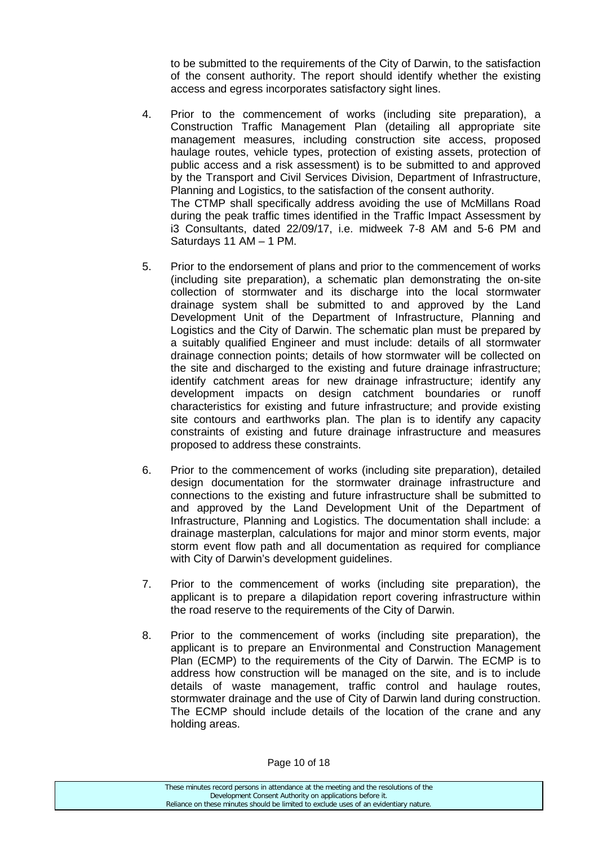to be submitted to the requirements of the City of Darwin, to the satisfaction of the consent authority. The report should identify whether the existing access and egress incorporates satisfactory sight lines.

- 4. Prior to the commencement of works (including site preparation), a Construction Traffic Management Plan (detailing all appropriate site management measures, including construction site access, proposed haulage routes, vehicle types, protection of existing assets, protection of public access and a risk assessment) is to be submitted to and approved by the Transport and Civil Services Division, Department of Infrastructure, Planning and Logistics, to the satisfaction of the consent authority. The CTMP shall specifically address avoiding the use of McMillans Road during the peak traffic times identified in the Traffic Impact Assessment by i3 Consultants, dated 22/09/17, i.e. midweek 7-8 AM and 5-6 PM and Saturdays 11 AM – 1 PM.
- 5. Prior to the endorsement of plans and prior to the commencement of works (including site preparation), a schematic plan demonstrating the on-site collection of stormwater and its discharge into the local stormwater drainage system shall be submitted to and approved by the Land Development Unit of the Department of Infrastructure, Planning and Logistics and the City of Darwin. The schematic plan must be prepared by a suitably qualified Engineer and must include: details of all stormwater drainage connection points; details of how stormwater will be collected on the site and discharged to the existing and future drainage infrastructure; identify catchment areas for new drainage infrastructure; identify any development impacts on design catchment boundaries or runoff characteristics for existing and future infrastructure; and provide existing site contours and earthworks plan. The plan is to identify any capacity constraints of existing and future drainage infrastructure and measures proposed to address these constraints.
- 6. Prior to the commencement of works (including site preparation), detailed design documentation for the stormwater drainage infrastructure and connections to the existing and future infrastructure shall be submitted to and approved by the Land Development Unit of the Department of Infrastructure, Planning and Logistics. The documentation shall include: a drainage masterplan, calculations for major and minor storm events, major storm event flow path and all documentation as required for compliance with City of Darwin's development guidelines.
- 7. Prior to the commencement of works (including site preparation), the applicant is to prepare a dilapidation report covering infrastructure within the road reserve to the requirements of the City of Darwin.
- 8. Prior to the commencement of works (including site preparation), the applicant is to prepare an Environmental and Construction Management Plan (ECMP) to the requirements of the City of Darwin. The ECMP is to address how construction will be managed on the site, and is to include details of waste management, traffic control and haulage routes, stormwater drainage and the use of City of Darwin land during construction. The ECMP should include details of the location of the crane and any holding areas.

Page 10 of 18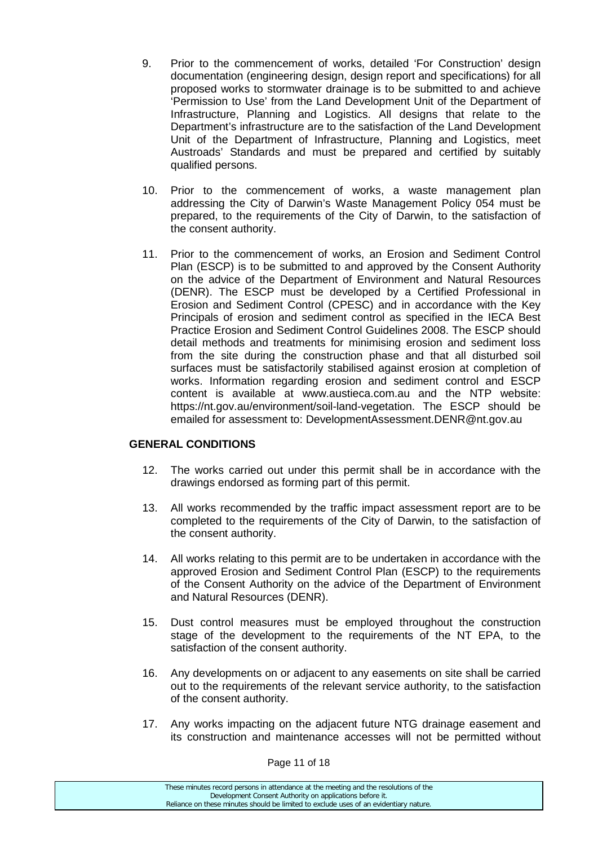- 9. Prior to the commencement of works, detailed 'For Construction' design documentation (engineering design, design report and specifications) for all proposed works to stormwater drainage is to be submitted to and achieve 'Permission to Use' from the Land Development Unit of the Department of Infrastructure, Planning and Logistics. All designs that relate to the Department's infrastructure are to the satisfaction of the Land Development Unit of the Department of Infrastructure, Planning and Logistics, meet Austroads' Standards and must be prepared and certified by suitably qualified persons.
- 10. Prior to the commencement of works, a waste management plan addressing the City of Darwin's Waste Management Policy 054 must be prepared, to the requirements of the City of Darwin, to the satisfaction of the consent authority.
- 11. Prior to the commencement of works, an Erosion and Sediment Control Plan (ESCP) is to be submitted to and approved by the Consent Authority on the advice of the Department of Environment and Natural Resources (DENR). The ESCP must be developed by a Certified Professional in Erosion and Sediment Control (CPESC) and in accordance with the Key Principals of erosion and sediment control as specified in the IECA Best Practice Erosion and Sediment Control Guidelines 2008. The ESCP should detail methods and treatments for minimising erosion and sediment loss from the site during the construction phase and that all disturbed soil surfaces must be satisfactorily stabilised against erosion at completion of works. Information regarding erosion and sediment control and ESCP content is available at www.austieca.com.au and the NTP website: https://nt.gov.au/environment/soil-land-vegetation. The ESCP should be emailed for assessment to: DevelopmentAssessment.DENR@nt.gov.au

#### **GENERAL CONDITIONS**

- 12. The works carried out under this permit shall be in accordance with the drawings endorsed as forming part of this permit.
- 13. All works recommended by the traffic impact assessment report are to be completed to the requirements of the City of Darwin, to the satisfaction of the consent authority.
- 14. All works relating to this permit are to be undertaken in accordance with the approved Erosion and Sediment Control Plan (ESCP) to the requirements of the Consent Authority on the advice of the Department of Environment and Natural Resources (DENR).
- 15. Dust control measures must be employed throughout the construction stage of the development to the requirements of the NT EPA, to the satisfaction of the consent authority.
- 16. Any developments on or adjacent to any easements on site shall be carried out to the requirements of the relevant service authority, to the satisfaction of the consent authority.
- 17. Any works impacting on the adjacent future NTG drainage easement and its construction and maintenance accesses will not be permitted without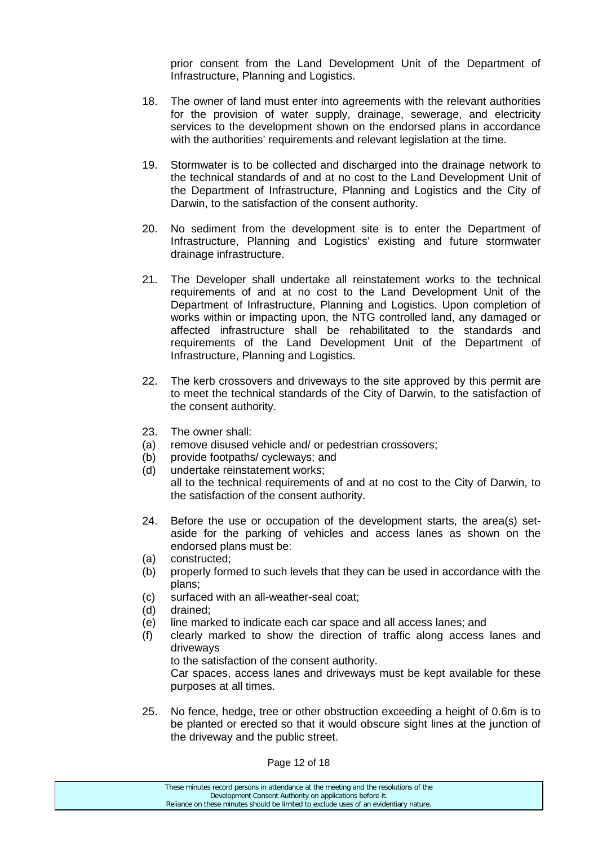prior consent from the Land Development Unit of the Department of Infrastructure, Planning and Logistics.

- 18. The owner of land must enter into agreements with the relevant authorities for the provision of water supply, drainage, sewerage, and electricity services to the development shown on the endorsed plans in accordance with the authorities' requirements and relevant legislation at the time.
- 19. Stormwater is to be collected and discharged into the drainage network to the technical standards of and at no cost to the Land Development Unit of the Department of Infrastructure, Planning and Logistics and the City of Darwin, to the satisfaction of the consent authority.
- 20. No sediment from the development site is to enter the Department of Infrastructure, Planning and Logistics' existing and future stormwater drainage infrastructure.
- 21. The Developer shall undertake all reinstatement works to the technical requirements of and at no cost to the Land Development Unit of the Department of Infrastructure, Planning and Logistics. Upon completion of works within or impacting upon, the NTG controlled land, any damaged or affected infrastructure shall be rehabilitated to the standards and requirements of the Land Development Unit of the Department of Infrastructure, Planning and Logistics.
- 22. The kerb crossovers and driveways to the site approved by this permit are to meet the technical standards of the City of Darwin, to the satisfaction of the consent authority.
- 23. The owner shall:
- (a) remove disused vehicle and/ or pedestrian crossovers;
- (b) provide footpaths/ cycleways; and
- (d) undertake reinstatement works; all to the technical requirements of and at no cost to the City of Darwin, to the satisfaction of the consent authority.
- 24. Before the use or occupation of the development starts, the area(s) setaside for the parking of vehicles and access lanes as shown on the endorsed plans must be:
- (a) constructed;
- (b) properly formed to such levels that they can be used in accordance with the plans;
- (c) surfaced with an all-weather-seal coat;
- (d) drained;
- (e) line marked to indicate each car space and all access lanes; and
- (f) clearly marked to show the direction of traffic along access lanes and driveways

to the satisfaction of the consent authority.

Car spaces, access lanes and driveways must be kept available for these purposes at all times.

25. No fence, hedge, tree or other obstruction exceeding a height of 0.6m is to be planted or erected so that it would obscure sight lines at the junction of the driveway and the public street.

Page 12 of 18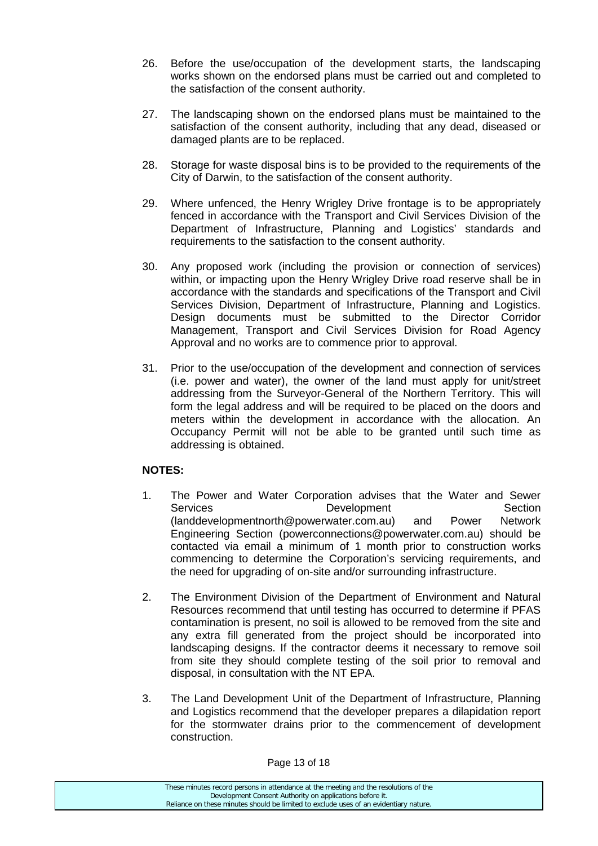- 26. Before the use/occupation of the development starts, the landscaping works shown on the endorsed plans must be carried out and completed to the satisfaction of the consent authority.
- 27. The landscaping shown on the endorsed plans must be maintained to the satisfaction of the consent authority, including that any dead, diseased or damaged plants are to be replaced.
- 28. Storage for waste disposal bins is to be provided to the requirements of the City of Darwin, to the satisfaction of the consent authority.
- 29. Where unfenced, the Henry Wrigley Drive frontage is to be appropriately fenced in accordance with the Transport and Civil Services Division of the Department of Infrastructure, Planning and Logistics' standards and requirements to the satisfaction to the consent authority.
- 30. Any proposed work (including the provision or connection of services) within, or impacting upon the Henry Wrigley Drive road reserve shall be in accordance with the standards and specifications of the Transport and Civil Services Division, Department of Infrastructure, Planning and Logistics. Design documents must be submitted to the Director Corridor Management, Transport and Civil Services Division for Road Agency Approval and no works are to commence prior to approval.
- 31. Prior to the use/occupation of the development and connection of services (i.e. power and water), the owner of the land must apply for unit/street addressing from the Surveyor-General of the Northern Territory. This will form the legal address and will be required to be placed on the doors and meters within the development in accordance with the allocation. An Occupancy Permit will not be able to be granted until such time as addressing is obtained.

### **NOTES:**

- 1. The Power and Water Corporation advises that the Water and Sewer Services **Development** Section [\(landdevelopmentnorth@powerwater.com.au\)](mailto:landdevelopmentnorth@powerwater.com.au) and Power Network Engineering Section [\(powerconnections@powerwater.com.au\)](mailto:powerconnections@powerwater.com.au) should be contacted via email a minimum of 1 month prior to construction works commencing to determine the Corporation's servicing requirements, and the need for upgrading of on-site and/or surrounding infrastructure.
- 2. The Environment Division of the Department of Environment and Natural Resources recommend that until testing has occurred to determine if PFAS contamination is present, no soil is allowed to be removed from the site and any extra fill generated from the project should be incorporated into landscaping designs. If the contractor deems it necessary to remove soil from site they should complete testing of the soil prior to removal and disposal, in consultation with the NT EPA.
- 3. The Land Development Unit of the Department of Infrastructure, Planning and Logistics recommend that the developer prepares a dilapidation report for the stormwater drains prior to the commencement of development construction.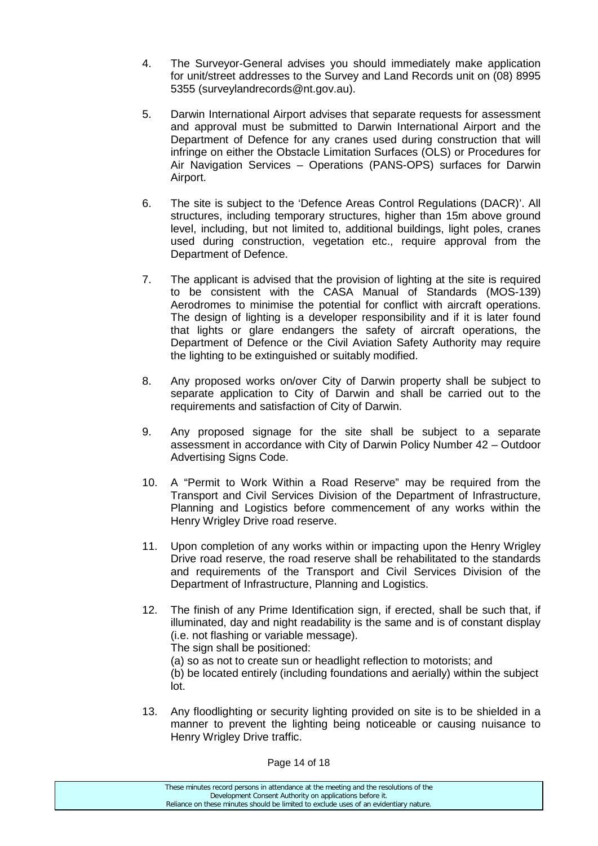- 4. The Surveyor-General advises you should immediately make application for unit/street addresses to the Survey and Land Records unit on (08) 8995 5355 (surveylandrecords@nt.gov.au).
- 5. Darwin International Airport advises that separate requests for assessment and approval must be submitted to Darwin International Airport and the Department of Defence for any cranes used during construction that will infringe on either the Obstacle Limitation Surfaces (OLS) or Procedures for Air Navigation Services – Operations (PANS-OPS) surfaces for Darwin Airport.
- 6. The site is subject to the 'Defence Areas Control Regulations (DACR)'. All structures, including temporary structures, higher than 15m above ground level, including, but not limited to, additional buildings, light poles, cranes used during construction, vegetation etc., require approval from the Department of Defence.
- 7. The applicant is advised that the provision of lighting at the site is required to be consistent with the CASA Manual of Standards (MOS-139) Aerodromes to minimise the potential for conflict with aircraft operations. The design of lighting is a developer responsibility and if it is later found that lights or glare endangers the safety of aircraft operations, the Department of Defence or the Civil Aviation Safety Authority may require the lighting to be extinguished or suitably modified.
- 8. Any proposed works on/over City of Darwin property shall be subject to separate application to City of Darwin and shall be carried out to the requirements and satisfaction of City of Darwin.
- 9. Any proposed signage for the site shall be subject to a separate assessment in accordance with City of Darwin Policy Number 42 – Outdoor Advertising Signs Code.
- 10. A "Permit to Work Within a Road Reserve" may be required from the Transport and Civil Services Division of the Department of Infrastructure, Planning and Logistics before commencement of any works within the Henry Wrigley Drive road reserve.
- 11. Upon completion of any works within or impacting upon the Henry Wrigley Drive road reserve, the road reserve shall be rehabilitated to the standards and requirements of the Transport and Civil Services Division of the Department of Infrastructure, Planning and Logistics.
- 12. The finish of any Prime Identification sign, if erected, shall be such that, if illuminated, day and night readability is the same and is of constant display (i.e. not flashing or variable message). The sign shall be positioned:
	- (a) so as not to create sun or headlight reflection to motorists; and

(b) be located entirely (including foundations and aerially) within the subject lot.

13. Any floodlighting or security lighting provided on site is to be shielded in a manner to prevent the lighting being noticeable or causing nuisance to Henry Wrigley Drive traffic.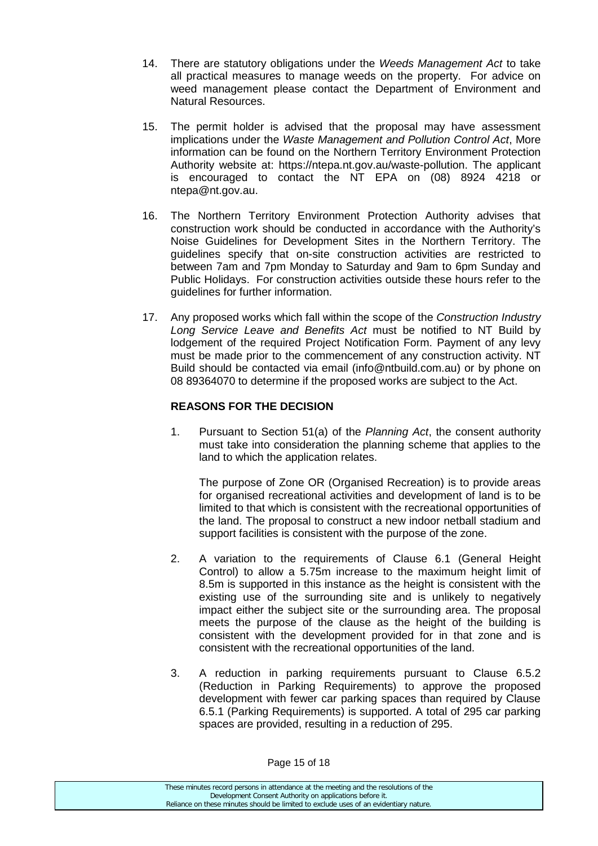- 14. There are statutory obligations under the *Weeds Management Act* to take all practical measures to manage weeds on the property. For advice on weed management please contact the Department of Environment and Natural Resources.
- 15. The permit holder is advised that the proposal may have assessment implications under the *Waste Management and Pollution Control Act*, More information can be found on the Northern Territory Environment Protection Authority website at: https://ntepa.nt.gov.au/waste-pollution. The applicant is encouraged to contact the NT EPA on (08) 8924 4218 or ntepa@nt.gov.au.
- 16. The Northern Territory Environment Protection Authority advises that construction work should be conducted in accordance with the Authority's Noise Guidelines for Development Sites in the Northern Territory. The guidelines specify that on-site construction activities are restricted to between 7am and 7pm Monday to Saturday and 9am to 6pm Sunday and Public Holidays. For construction activities outside these hours refer to the guidelines for further information.
- 17. Any proposed works which fall within the scope of the *Construction Industry Long Service Leave and Benefits Act* must be notified to NT Build by lodgement of the required Project Notification Form. Payment of any levy must be made prior to the commencement of any construction activity. NT Build should be contacted via email (info@ntbuild.com.au) or by phone on 08 89364070 to determine if the proposed works are subject to the Act.

### **REASONS FOR THE DECISION**

1. Pursuant to Section 51(a) of the *Planning Act*, the consent authority must take into consideration the planning scheme that applies to the land to which the application relates.

The purpose of Zone OR (Organised Recreation) is to provide areas for organised recreational activities and development of land is to be limited to that which is consistent with the recreational opportunities of the land. The proposal to construct a new indoor netball stadium and support facilities is consistent with the purpose of the zone.

- 2. A variation to the requirements of Clause 6.1 (General Height Control) to allow a 5.75m increase to the maximum height limit of 8.5m is supported in this instance as the height is consistent with the existing use of the surrounding site and is unlikely to negatively impact either the subject site or the surrounding area. The proposal meets the purpose of the clause as the height of the building is consistent with the development provided for in that zone and is consistent with the recreational opportunities of the land.
- 3. A reduction in parking requirements pursuant to Clause 6.5.2 (Reduction in Parking Requirements) to approve the proposed development with fewer car parking spaces than required by Clause 6.5.1 (Parking Requirements) is supported. A total of 295 car parking spaces are provided, resulting in a reduction of 295.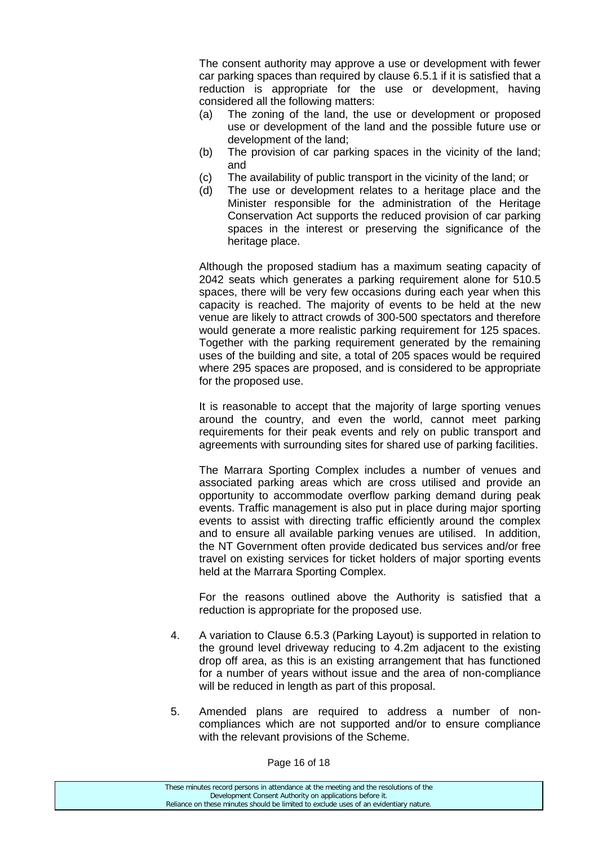The consent authority may approve a use or development with fewer car parking spaces than required by clause 6.5.1 if it is satisfied that a reduction is appropriate for the use or development, having considered all the following matters:

- (a) The zoning of the land, the use or development or proposed use or development of the land and the possible future use or development of the land;
- (b) The provision of car parking spaces in the vicinity of the land; and
- (c) The availability of public transport in the vicinity of the land; or
- (d) The use or development relates to a heritage place and the Minister responsible for the administration of the Heritage Conservation Act supports the reduced provision of car parking spaces in the interest or preserving the significance of the heritage place.

Although the proposed stadium has a maximum seating capacity of 2042 seats which generates a parking requirement alone for 510.5 spaces, there will be very few occasions during each year when this capacity is reached. The majority of events to be held at the new venue are likely to attract crowds of 300-500 spectators and therefore would generate a more realistic parking requirement for 125 spaces. Together with the parking requirement generated by the remaining uses of the building and site, a total of 205 spaces would be required where 295 spaces are proposed, and is considered to be appropriate for the proposed use.

It is reasonable to accept that the majority of large sporting venues around the country, and even the world, cannot meet parking requirements for their peak events and rely on public transport and agreements with surrounding sites for shared use of parking facilities.

The Marrara Sporting Complex includes a number of venues and associated parking areas which are cross utilised and provide an opportunity to accommodate overflow parking demand during peak events. Traffic management is also put in place during major sporting events to assist with directing traffic efficiently around the complex and to ensure all available parking venues are utilised. In addition, the NT Government often provide dedicated bus services and/or free travel on existing services for ticket holders of major sporting events held at the Marrara Sporting Complex.

For the reasons outlined above the Authority is satisfied that a reduction is appropriate for the proposed use.

- 4. A variation to Clause 6.5.3 (Parking Layout) is supported in relation to the ground level driveway reducing to 4.2m adjacent to the existing drop off area, as this is an existing arrangement that has functioned for a number of years without issue and the area of non-compliance will be reduced in length as part of this proposal.
- 5. Amended plans are required to address a number of noncompliances which are not supported and/or to ensure compliance with the relevant provisions of the Scheme.

Page 16 of 18

| These minutes record persons in attendance at the meeting and the resolutions of the  |
|---------------------------------------------------------------------------------------|
| Development Consent Authority on applications before it.                              |
| Reliance on these minutes should be limited to exclude uses of an evidentiary nature. |
|                                                                                       |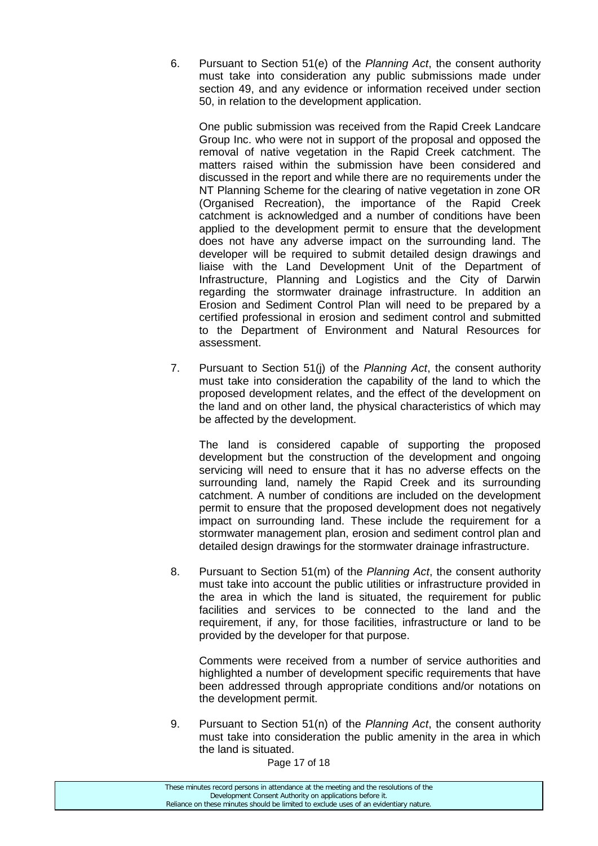6. Pursuant to Section 51(e) of the *Planning Act*, the consent authority must take into consideration any public submissions made under section 49, and any evidence or information received under section 50, in relation to the development application.

One public submission was received from the Rapid Creek Landcare Group Inc. who were not in support of the proposal and opposed the removal of native vegetation in the Rapid Creek catchment. The matters raised within the submission have been considered and discussed in the report and while there are no requirements under the NT Planning Scheme for the clearing of native vegetation in zone OR (Organised Recreation), the importance of the Rapid Creek catchment is acknowledged and a number of conditions have been applied to the development permit to ensure that the development does not have any adverse impact on the surrounding land. The developer will be required to submit detailed design drawings and liaise with the Land Development Unit of the Department of Infrastructure, Planning and Logistics and the City of Darwin regarding the stormwater drainage infrastructure. In addition an Erosion and Sediment Control Plan will need to be prepared by a certified professional in erosion and sediment control and submitted to the Department of Environment and Natural Resources for assessment.

7. Pursuant to Section 51(j) of the *Planning Act*, the consent authority must take into consideration the capability of the land to which the proposed development relates, and the effect of the development on the land and on other land, the physical characteristics of which may be affected by the development.

The land is considered capable of supporting the proposed development but the construction of the development and ongoing servicing will need to ensure that it has no adverse effects on the surrounding land, namely the Rapid Creek and its surrounding catchment. A number of conditions are included on the development permit to ensure that the proposed development does not negatively impact on surrounding land. These include the requirement for a stormwater management plan, erosion and sediment control plan and detailed design drawings for the stormwater drainage infrastructure.

8. Pursuant to Section 51(m) of the *Planning Act*, the consent authority must take into account the public utilities or infrastructure provided in the area in which the land is situated, the requirement for public facilities and services to be connected to the land and the requirement, if any, for those facilities, infrastructure or land to be provided by the developer for that purpose.

Comments were received from a number of service authorities and highlighted a number of development specific requirements that have been addressed through appropriate conditions and/or notations on the development permit.

9. Pursuant to Section 51(n) of the *Planning Act*, the consent authority must take into consideration the public amenity in the area in which the land is situated.

Page 17 of 18

| These minutes record persons in attendance at the meeting and the resolutions of the  |
|---------------------------------------------------------------------------------------|
| Development Consent Authority on applications before it.                              |
| Reliance on these minutes should be limited to exclude uses of an evidentiary nature. |
|                                                                                       |